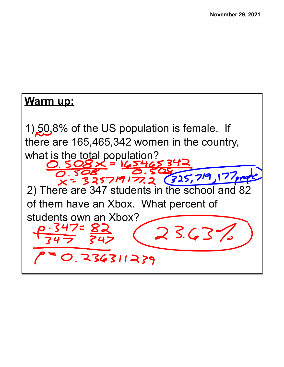## **Warm up:** 1) 50.8% of the US population is female. If there are 165,465,342 women in the country, what is the total population?  $\leq$  = 1/25 325719177.2 (325,719,177,000 2) There are 347 students in the school and 82 of them have an Xbox. What percent of students own an Xbox? $23.63%$ 236311239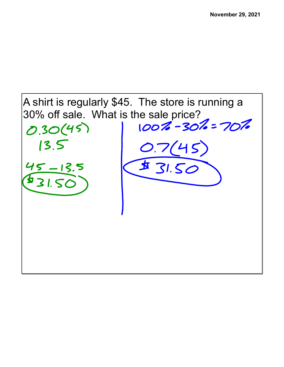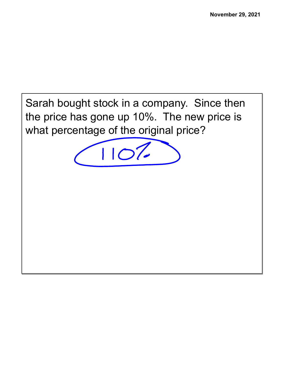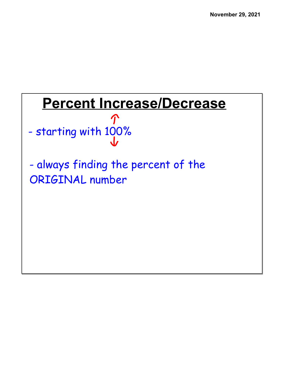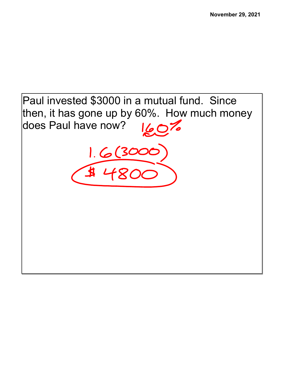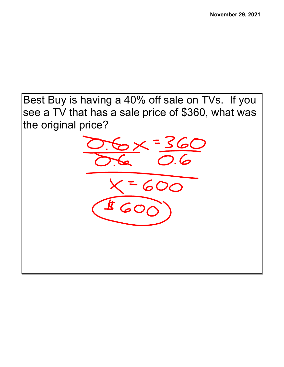Best Buy is having a 40% off sale on TVs. If you see a TV that has a sale price of \$360, what was the original price?

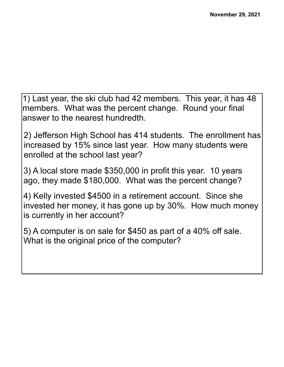1) Last year, the ski club had 42 members. This year, it has 48 members. What was the percent change. Round your final answer to the nearest hundredth.

2) Jefferson High School has 414 students. The enrollment has increased by 15% since last year. How many students were enrolled at the school last year?

3) A local store made \$350,000 in profit this year. 10 years ago, they made \$180,000. What was the percent change?

4) Kelly invested \$4500 in a retirement account. Since she invested her money, it has gone up by 30%. How much money is currently in her account?

5) A computer is on sale for \$450 as part of a 40% off sale. What is the original price of the computer?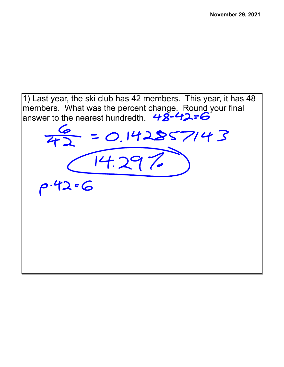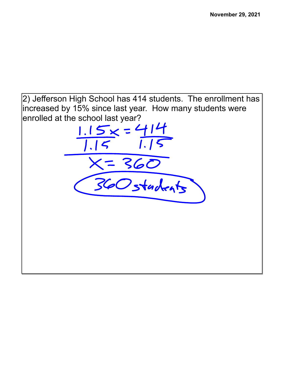2) Jefferson High School has 414 students. The enrollment has increased by 15% since last year. How many students were enrolled at the school last year?<br> $\frac{1.15 \times 7414}{1}$ 

 $X = 360$ <br>360 stackets

 $1.15$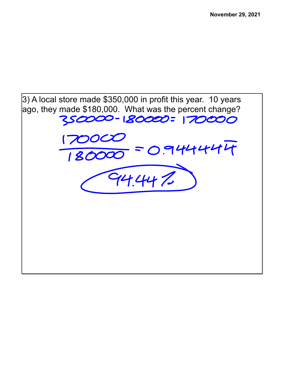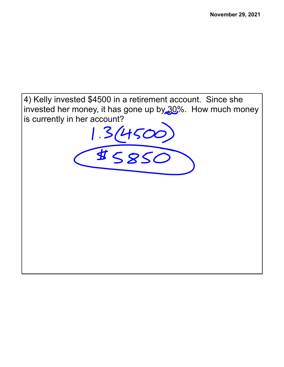